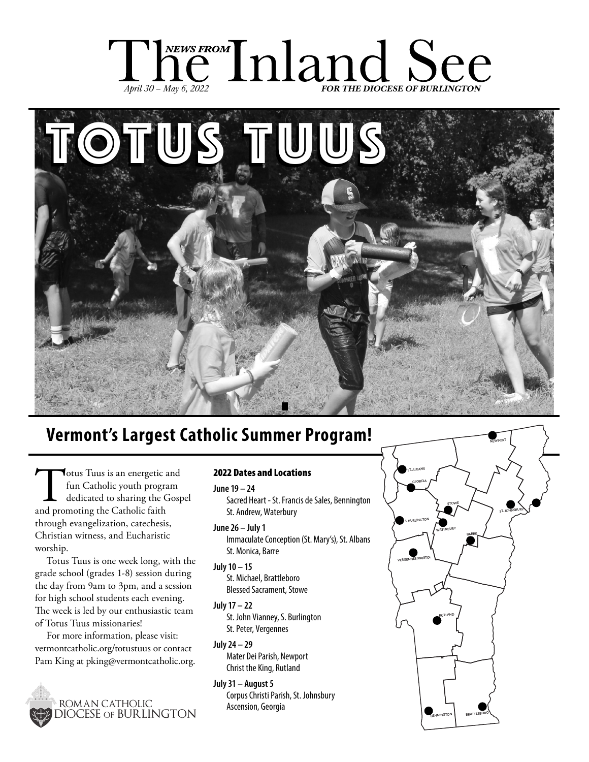



### **Vermont's Largest Catholic Summer Program!**

Totus Tuus is an energetic and fun Catholic youth program dedicated to sharing the Gospel and promoting the Catholic faith through evangelization, catechesis, Christian witness, and Eucharistic worship.

Totus Tuus is one week long, with the grade school (grades 1-8) session during the day from 9am to 3pm, and a session for high school students each evening. The week is led by our enthusiastic team of Totus Tuus missionaries!

For more information, please visit: vermontcatholic.org/totustuus or contact Pam King at pking@vermontcatholic.org.



### 2022 Dates and Locations

**June 19 – 24** Sacred Heart - St. Francis de Sales, Bennington St. Andrew, Waterbury

**June 26 – July 1**

Immaculate Conception (St. Mary's), St. Albans St. Monica, Barre

- **July 10 15** St. Michael, Brattleboro Blessed Sacrament, Stowe
- **July 17 22**

St. John Vianney, S. Burlington St. Peter, Vergennes

**July 24 – 29** Mater Dei Parish, Newport Christ the King, Rutland

### **July 31 – August 5**

Corpus Christi Parish, St. Johnsbury Ascension, Georgia